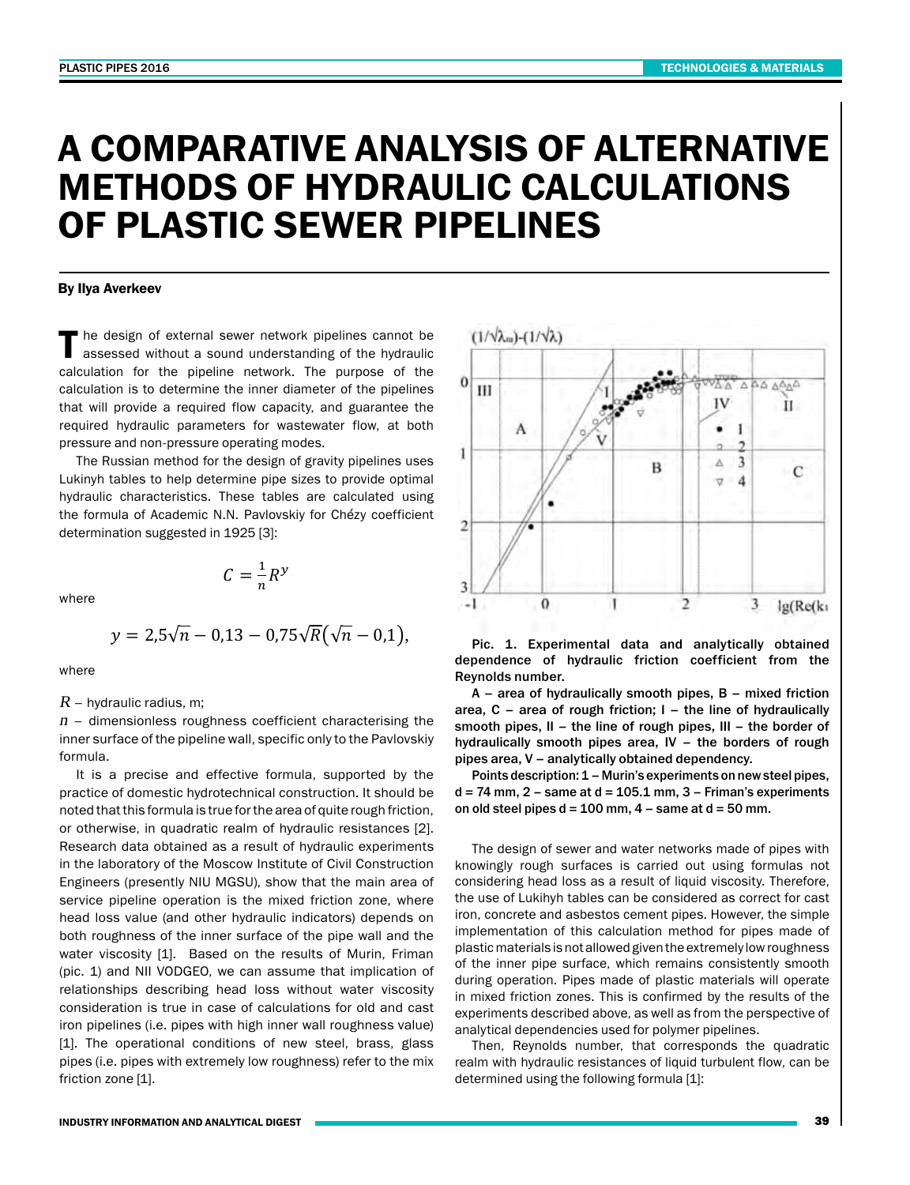# A COMPARATIVE ANALYSIS OF ALTERNATIVE METHODS OF HYDRAULIC CALCULATIONS OF PLASTIC SEWER PIPELINES

## By Ilya Averkeev

The design of external sewer network pipelines cannot be assessed without a sound understanding of the hydraulic calculation for the pipeline network. The purpose of the calculation is to determine the inner diameter of the pipelines that will provide a required flow capacity, and guarantee the required hydraulic parameters for wastewater flow, at both pressure and non-pressure operating modes.<br>  $\begin{array}{c} \n\mathbf{I} \quad \mathbf{I} \quad \mathbf{I} \end{array}$ 

The Russian method for the design of gravity pipelines uses The Russian memod for the design of gravity pipennes uses<br>Lukinyh tables to help determine pipe sizes to provide optimal hydraulic characteristics. These tables are calculated using **Fig.** The formula of Academic N.N. Pavlovskiy for Chezy coefficient determination suggested in 1925 [3]:  $\frac{2}{5}$ 

where

$$
y = 2.5\sqrt{n} - 0.13 - 0.75\sqrt{R}(\sqrt{n} - 0.1),
$$

 $\frac{1}{2}$   $\frac{1}{2}$   $\frac{1}{2}$   $\frac{1}{2}$   $\frac{1}{2}$   $\frac{1}{2}$   $\frac{1}{2}$   $\frac{1}{2}$   $\frac{1}{2}$   $\frac{1}{2}$   $\frac{1}{2}$   $\frac{1}{2}$   $\frac{1}{2}$   $\frac{1}{2}$   $\frac{1}{2}$   $\frac{1}{2}$   $\frac{1}{2}$   $\frac{1}{2}$   $\frac{1}{2}$   $\frac{1}{2}$   $\frac{1}{2}$   $\frac{1}{2}$ 

 $C=\frac{1}{n}R^{\mathcal{Y}}$ 

where

#### $R$  – hydraulic radius, m;

 $R$  – hydraulic radius, m;<br> $n$  – dimensionless roughness coefficient characterising the  $n-$  dimensionless roughness coefficient characterising the<br>inner surface of the pipeline wall, specific only to the Pavlovskiy<br>formula formula. .<br>Ne formula

It is a precise and effective formula, supported by the practice of domestic hydrotechnical construction. It should be noted that this formula is true for the area of quite rough friction, кв or otherwise, in quadratic realm of hydraulic resistances [2].<br>Sesearch data obtained as a result of hydraulic experiments or otherwise, in quadratic realm of hydraulic resistances [2].<br>Research data obtained as a result of hydraulic experiments or otherwise, in quadratic realm of hydraulic resistances [2].<br>Research data obtained as a result of hydraulic experiments<br>in the laboratory of the Moscow Institute of Civil Construction<br>Factors of the Multiple of the Dist Engineers (presently NIU MGSU), show that the main area of engineers (presently nic moso), show that the miani area or<br>service pipeline operation is the mixed friction zone, where head loss value (and other hydraulic indicators) depends on ф hoth roughness of the inner surface of the pipe wall and the water viscosity [1]. Based on the results of Murin, Friman<br>(ais 4) and NII VODCEO we see assume that implication of water viscosity [1]. Based on the results of Murin, Friman<br>(pic. 1) and NII VODGEO, we can assume that implication of (pic. 1) and NII VODGEO, we can assume that implication of<br>*relationships describing head loss without water viscosity* relationships describing head loss without water viscosity<br>consideration is true in case of calculations for old and cast iron pipelines (i.e. pipes with high inner wall roughness value) .*Q* =<sup>A</sup><sup>∙</sup> �-2∙lg � 2,51∙*<sup>ν</sup>* + э �∙�2*g*∙*d*∙*JE*� *a* and the operational conditions of new steel, brass, glass prince (i.e. pipes with orditions of new steel, brass, glass prince (i.e. pipes with oxtramely low roughness) refer to the mix pipes (i.e. pipes with extremely low roughness) refer to the mix friction zone [1]. fective formula, s<br>technical construe ecnnical constru<br>به for the area of c ixed it implice<br>water\_v �



Pic. 1. Experimental data and analytically obtained dependence of hydraulic friction coefficient from the Reynolds number.

A – area of hydraulically smooth pipes, B – mixed friction area,  $C$  – area of rough friction;  $I$  – the line of hydraulically smooth pipes, II – the line of rough pipes, III – the border of hydraulically smooth pipes area, IV – the borders of rough pipes area, V – analytically obtained dependency.

Points description: 1 – Murin's experiments on new steel pipes,  $d = 74$  mm,  $2 -$  same at  $d = 105.1$  mm,  $3 -$  Friman's experiments on old steel pipes  $d = 100$  mm,  $4 -$  same at  $d = 50$  mm.

The design of sewer and water networks made of pipes with knowingly rough surfaces is carried out using formulas not considering head loss as a result of liquid viscosity. Therefore, the use of Lukihyh tables can be considered as correct for cast iron, concrete and asbestos cement pipes. However, the simple implementation of this calculation method for pipes made of plastic materials is not allowed given the extremely low roughness of the inner pipe surface, which remains consistently smooth during operation. Pipes made of plastic materials will operate in mixed friction zones. This is confirmed by the results of the experiments described above, as well as from the perspective of analytical dependencies used for polymer pipelines.

Then, Reynolds number, that corresponds the quadratic realm with hydraulic resistances of liquid turbulent flow, can be determined using the following formula [1]: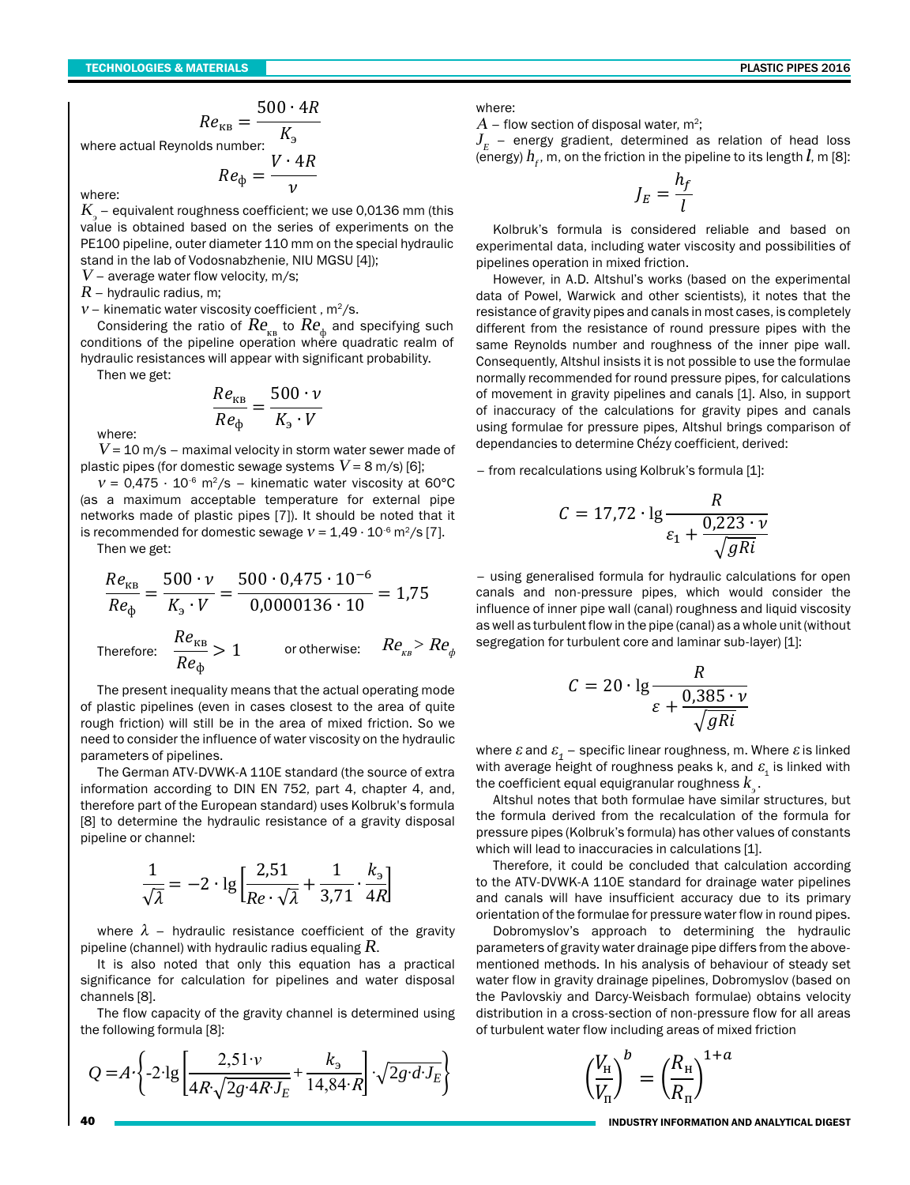$$
Re_{\kappa B} = \frac{500 \cdot 4R}{K}
$$

where actual Reynolds number:  $Re_{\phi} = \frac{V \cdot 4R}{v}$ 

where<sup>.</sup>

 $K_{\rm g}$  – equivalent roughness coefficient; we use 0,0136 mm (this value is obtained based on the series of experiments on the PE100 pipeline, outer diameter 110 mm on the special hydraulic stand in the lab of Vodosnabzhenie, NIU MGSU [4]);

 $V$  – average water flow velocity, m/s;

 $R$  – hydraulic radius, m;

 $V$  – kinematic water viscosity coefficient, m<sup>2</sup>/s.

Considering the ratio of  $Re_{\kappa}$  to  $Re_{\phi}$  and specifying such conditions of the pipeline operation where quadratic realm of hydraulic resistances will appear with significant probability.

Then we get:

$$
\frac{Re_{\kappa B}}{Re_{\phi}} = \frac{500 \cdot \nu}{K_{\text{s}} \cdot V}
$$

where:

 $V$  = 10 m/s – maximal velocitv in storm water sewer made of plastic pipes (for domestic sewage systems  $V = 8$  m/s) [6];

 $v = 0.475 \cdot 10^{-6}$  m<sup>2</sup>/s - kinematic water viscosity at 60°C (as a maximum acceptable temperature for external pipe networks made of plastic pipes [7]). It should be noted that it is recommended for domestic sewage  $v = 1.49 \cdot 10^{-6}$  m<sup>2</sup>/s [7].

Then we get:

$$
\frac{Re_{\text{KB}}}{Re_{\phi}} = \frac{500 \cdot \nu}{K_{\text{s}} \cdot V} = \frac{500 \cdot 0.475 \cdot 10^{-6}}{0.0000136 \cdot 10} = 1.75
$$
  
Therefore: 
$$
\frac{Re_{\text{KB}}}{Re_{\phi}} > 1
$$
 or otherwise:  $Re_{\text{KB}} > Re_{\text{GB}}$ 

The present inequality means that the actual operating mode of plastic pipelines (even in cases closest to the area of quite rough friction) will still be in the area of mixed friction. So we need to consider the influence of water viscosity on the hydraulic parameters of pipelines.

The German ATV-DVWK-A 110E standard (the source of extra information according to DIN EN 752, part 4, chapter 4, and, therefore part of the European standard) uses Kolbruk's formula [8] to determine the hydraulic resistance of a gravity disposal pipeline or channel:

$$
\frac{1}{\sqrt{\lambda}} = -2 \cdot \lg \left[ \frac{2.51}{Re \cdot \sqrt{\lambda}} + \frac{1}{3.71} \cdot \frac{k_3}{4R} \right]
$$

where  $\lambda$  – hydraulic resistance coefficient of the gravity pipeline (channel) with hydraulic radius equaling  $R$ .

It is also noted that only this equation has a practical significance for calculation for pipelines and water disposal channels [8].

The flow capacity of the gravity channel is determined using the following formula [8]:

$$
Q = A \cdot \left\{ -2 \cdot \lg \left[ \frac{2,51 \cdot v}{4R \sqrt{2g \cdot 4R \cdot J_E}} + \frac{k_3}{14,84 \cdot R} \right] \cdot \sqrt{2g \cdot d \cdot J_E} \right\}
$$

where:

 $A$  – flow section of disposal water, m<sup>2</sup>;

 $J_{\scriptscriptstyle E}$  – energy gradient, determined as relation of head loss (energy)  $h_{r}$ , m, on the friction in the pipeline to its length  $l$ , m [8]:

$$
J_E = \frac{h_f}{l}
$$

Kolbruk's formula is considered reliable and based on experimental data, including water viscosity and possibilities of pipelines operation in mixed friction.

However, in A.D. Altshul's works (based on the experimental data of Powel, Warwick and other scientists), it notes that the resistance of gravity pipes and canals in most cases, is completely different from the resistance of round pressure pipes with the same Reynolds number and roughness of the inner pipe wall. Consequently, Altshul insists it is not possible to use the formulae normally recommended for round pressure pipes, for calculations of movement in gravity pipelines and canals [1]. Also, in support of inaccuracy of the calculations for gravity pipes and canals using formulae for pressure pipes. Altshul brings comparison of dependancies to determine Chézy coefficient, derived:

- from recalculations using Kolbruk's formula [1]:

$$
C = 17.72 \cdot \lg \frac{R}{\varepsilon_1 + \frac{0.223 \cdot \nu}{\sqrt{gRi}}}
$$

- using generalised formula for hydraulic calculations for open canals and non-pressure pipes, which would consider the influence of inner pipe wall (canal) roughness and liquid viscosity as well as turbulent flow in the pipe (canal) as a whole unit (without segregation for turbulent core and laminar sub-layer) [1]:

$$
C = 20 \cdot \lg \frac{R}{\varepsilon + \frac{0.385 \cdot \nu}{\sqrt{gRi}}}
$$

where  $\varepsilon$  and  $\varepsilon$ <sub>1</sub> – specific linear roughness, m. Where  $\varepsilon$  is linked with average height of roughness peaks k, and  $\varepsilon$  is linked with the coefficient equal equigranular roughness  $k_{\circ}$ .

Altshul notes that both formulae have similar structures, but the formula derived from the recalculation of the formula for pressure pipes (Kolbruk's formula) has other values of constants which will lead to inaccuracies in calculations [1].

Therefore, it could be concluded that calculation according to the ATV-DVWK-A 110E standard for drainage water pipelines and canals will have insufficient accuracy due to its primary orientation of the formulae for pressure water flow in round pipes.

Dobromyslov's approach to determining the hydraulic parameters of gravity water drainage pipe differs from the abovementioned methods. In his analysis of behaviour of steady set water flow in gravity drainage pipelines, Dobromyslov (based on the Pavlovskiy and Darcy-Weisbach formulae) obtains velocity distribution in a cross-section of non-pressure flow for all areas of turbulent water flow including areas of mixed friction